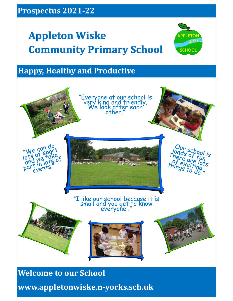# **Appleton Wiske Community Primary School**



# **Happy, Healthy and Productive**



1 **www.appletonwiske.n-yorks.sch.uk**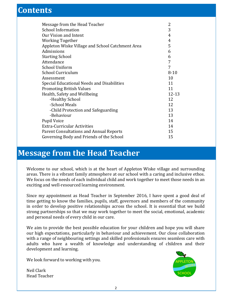# **Contents**

| Message from the Head Teacher                    | 2         |
|--------------------------------------------------|-----------|
| <b>School Information</b>                        | 3         |
| Our Vision and Intent                            | 4         |
| <b>Working Together</b>                          | 4         |
| Appleton Wiske Village and School Catchment Area | 5         |
| Admissions                                       | 6         |
| <b>Starting School</b>                           | 6         |
| Attendance                                       | 7         |
| <b>School Uniform</b>                            | 7         |
| School Curriculum                                | $8 - 10$  |
| Assessment                                       | 10        |
| Special Educational Needs and Disabilities       | 11        |
| <b>Promoting British Values</b>                  | 11        |
| Health, Safety and Wellbeing                     | $12 - 13$ |
| -Healthy School                                  | 12        |
| -School Meals                                    | 12        |
| -Child Protection and Safeguarding               | 13        |
| -Behaviour                                       | 13        |
| <b>Pupil Voice</b>                               | 14        |
| <b>Extra-Curricular Activities</b>               | 14        |
| Parent Consultations and Annual Reports          |           |
| Governing Body and Friends of the School         |           |
|                                                  |           |

# **Message from the Head Teacher**

Welcome to our school, which is at the heart of Appleton Wiske village and surrounding areas. There is a vibrant family atmosphere at our school with a caring and inclusive ethos. We focus on the needs of each individual child and work together to meet those needs in an exciting and well-resourced learning environment.

Since my appointment as Head Teacher in September 2016, I have spent a good deal of time getting to know the families, pupils, staff, governors and members of the community in order to develop positive relationships across the school. It is essential that we build strong partnerships so that we may work together to meet the social, emotional, academic and personal needs of every child in our care.

We aim to provide the best possible education for your children and hope you will share our high expectations, particularly in behaviour and achievement. Our close collaboration with a range of neighbouring settings and skilled professionals ensures seamless care with adults who have a wealth of knowledge and understanding of children and their development and learning.

We look forward to working with you.

Neil Clark Head Teacher

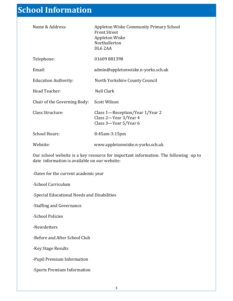# **School Information**

| Name & Address:                                                                                                                      | Appleton Wiske Community Primary School<br><b>Front Street</b><br>Appleton Wiske<br>Northallerton<br>DL6 2AA |  |
|--------------------------------------------------------------------------------------------------------------------------------------|--------------------------------------------------------------------------------------------------------------|--|
| Telephone:                                                                                                                           | 01609881398                                                                                                  |  |
| Email:                                                                                                                               | admin@appletonwiske.n-yorks.sch.uk                                                                           |  |
| <b>Education Authority:</b>                                                                                                          | North Yorkshire County Council                                                                               |  |
| Head Teacher:                                                                                                                        | Neil Clark                                                                                                   |  |
| Chair of the Governing Body:                                                                                                         | <b>Scott Wilson</b>                                                                                          |  |
| Class Structure:                                                                                                                     | Class 1—Reception/Year 1/Year 2<br>Class 2-Year 3/Year 4<br>Class 3-Year 5/Year 6                            |  |
| <b>School Hours:</b>                                                                                                                 | 8:45am-3:15pm                                                                                                |  |
| Website:                                                                                                                             | www.appletonwiske.n-yorks.sch.uk                                                                             |  |
| Our school website is a key resource for important information. The following up to<br>date information is available on our website: |                                                                                                              |  |
| -Dates for the current academic year                                                                                                 |                                                                                                              |  |
| -School Curriculum                                                                                                                   |                                                                                                              |  |
| -Special Educational Needs and Disabilities                                                                                          |                                                                                                              |  |
| -Staffing and Governance                                                                                                             |                                                                                                              |  |
| -School Policies                                                                                                                     |                                                                                                              |  |
| -Newsletters                                                                                                                         |                                                                                                              |  |

-Before and After School Club

-Key Stage Results

-Pupil Premium Information

-Sports Premium Information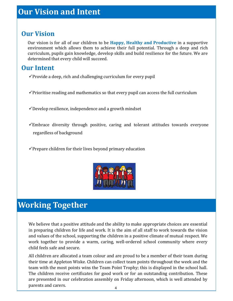#### **Our Vision**

Our vision is for all of our children to be **Happy, Healthy and Productive** in a supportive environment which allows them to achieve their full potential. Through a deep and rich curriculum, pupils gain knowledge, develop skills and build resilience for the future. We are determined that every child will succeed.

#### **Our Intent**

- $\checkmark$  Provide a deep, rich and challenging curriculum for every pupil
- $\checkmark$  Prioritise reading and mathematics so that every pupil can access the full curriculum
- $\checkmark$  Develop resilience, independence and a growth mindset
- $\checkmark$ Embrace diversity through positive, caring and tolerant attitudes towards everyone regardless of background
- $\checkmark$ Prepare children for their lives beyond primary education



# **Working Together**

We believe that a positive attitude and the ability to make appropriate choices are essential in preparing children for life and work. It is the aim of all staff to work towards the vision and values of the school, supporting the children in a positive climate of mutual respect. We work together to provide a warm, caring, well-ordered school community where every child feels safe and secure.

All children are allocated a team colour and are proud to be a member of their team during their time at Appleton Wiske. Children can collect team points throughout the week and the team with the most points wins the Team Point Trophy; this is displayed in the school hall. The children receive certificates for good work or for an outstanding contribution. These are presented in our celebration assembly on Friday afternoon, which is well attended by parents and carers.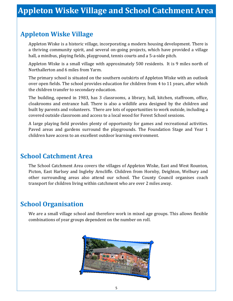#### **Appleton Wiske Village**

Appleton Wiske is a historic village, incorporating a modern housing development. There is a thriving community spirit, and several on-going projects, which have provided a village hall, a minibus, playing fields, playground, tennis courts and a 5-a-side pitch.

Appleton Wiske is a small village with approximately 500 residents. It is 9 miles north of Northallerton and 6 miles from Yarm.

The primary school is situated on the southern outskirts of Appleton Wiske with an outlook over open fields. The school provides education for children from 4 to 11 years, after which the children transfer to secondary education.

The building, opened in 1983, has 3 classrooms, a library, hall, kitchen, staffroom, office, cloakrooms and entrance hall. There is also a wildlife area designed by the children and built by parents and volunteers. There are lots of opportunities to work outside, including a covered outside classroom and access to a local wood for Forest School sessions.

A large playing field provides plenty of opportunity for games and recreational activities. Paved areas and gardens surround the playgrounds. The Foundation Stage and Year 1 children have access to an excellent outdoor learning environment.

## **School Catchment Area**

The School Catchment Area covers the villages of Appleton Wiske, East and West Rounton, Picton, East Harlsey and Ingleby Arncliffe. Children from Hornby, Deighton, Welbury and other surrounding areas also attend our school. The County Council organises coach transport for children living within catchment who are over 2 miles away.

# **School Organisation**

We are a small village school and therefore work in mixed age groups. This allows flexible combinations of year groups dependent on the number on roll.

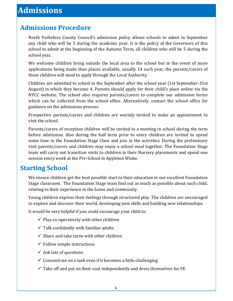# **Admissions Procedure**

North Yorkshire County Council's admission policy allows schools to admit in September any child who will be 5 during the academic year. It is the policy of the Governors of this school to admit at the beginning of the Autumn Term, all children who will be 5 during the school year.

We welcome children living outside the local area to the school but in the event of more applications being made than places available, usually 14 each year, the parents/carers of these children will need to apply through the Local Authority.

Children are admitted to school in the September after the school year (1st September-31st August) in which they become 4. Parents should apply for their child's place online via the NYCC website. The school also requires parents/carers to complete our admission forms which can be collected from the school office. Alternatively, contact the school office for guidance on the admissions process.

Prospective parents/carers and children are warmly invited to make an appointment to visit the school.

Parents/carers of reception children will be invited to a meeting in school during the term before admission. Also during the half term prior to entry children are invited to spend some time in the Foundation Stage Class and join in the activities. During the preliminary visit parents/carers and children may enjoy a school meal together. The Foundation Stage team will carry out transition visits to children in their Nursery placements and spend one session every week at the Pre-School in Appleton Wiske.

# **Starting School**

We ensure children get the best possible start to their education in our excellent Foundation Stage classroom. The Foundation Stage team find out as much as possible about each child, relating to their experience in the home and community.

Young children express their feelings through structured play. The children are encouraged to explore and discover their world, developing new skills and building new relationships.

It would be very helpful if you could encourage your child to:

- $\checkmark$  Play co-operatively with other children
- $\checkmark$  Talk confidently with familiar adults
- $\checkmark$  Share and take turns with other children
- $\checkmark$  Follow simple instructions
- $\checkmark$  Ask lots of questions
- $\checkmark$  Concentrate on a task even if it becomes a little challenging
- $\checkmark$  Take off and put on their coat independently and dress themselves for PE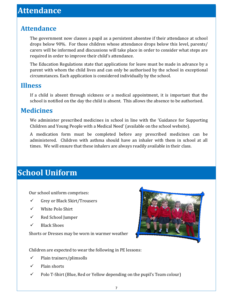# **Attendance**

The government now classes a pupil as a persistent absentee if their attendance at school drops below 90%. For those children whose attendance drops below this level, parents/ carers will be informed and discussions will take place in order to consider what steps are required in order to improve their child's attendance.

The Education Regulations state that applications for leave must be made in advance by a parent with whom the child lives and can only be authorised by the school in exceptional circumstances. Each application is considered individually by the school.

#### **Illness**

If a child is absent through sickness or a medical appointment, it is important that the school is notified on the day the child is absent. This allows the absence to be authorised.

#### **Medicines**

We administer prescribed medicines in school in line with the 'Guidance for Supporting Children and Young People with a Medical Need' (available on the school website).

A medication form must be completed before any prescribed medicines can be administered. Children with asthma should have an inhaler with them in school at all times. We will ensure that these inhalers are always readily available in their class.

# **School Uniform**

Our school uniform comprises:

- ✓ Grey or Black Skirt/Trousers
- ✓ White Polo Shirt
- ✓ Red School Jumper
- ✓ Black Shoes

Shorts or Dresses may be worn in warmer weather



Children are expected to wear the following in PE lessons:

- $\checkmark$  Plain trainers/plimsolls
- ✓ Plain shorts
- $\checkmark$  Polo T-Shirt (Blue, Red or Yellow depending on the pupil's Team colour)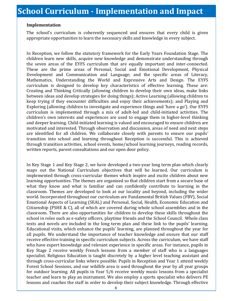#### **Implementation**

The school's curriculum is coherently sequenced and ensures that every child is given appropriate opportunities to learn the necessary skills and knowledge in every subject.

In Reception, we follow the statutory framework for the Early Years Foundation Stage. The children learn new skills, acquire new knowledge and demonstrate understanding through the seven areas of the EYFS curriculum that are equally important and inter-connected. These are the prime areas of Personal, Social and Emotional Development, Physical Development and Communication and Language; and the specific areas of Literacy, Mathematics, Understanding the World and Expressive Arts and Design. The EYFS curriculum is designed to develop key characteristics of effective learning. These are: Creating and Thinking Critically (allowing children to develop their own ideas, make links between ideas and develop strategies for doing things); Active Learning (allowing children to keep trying if they encounter difficulties and enjoy their achievements); and Playing and Exploring (allowing children to investigate and experience things and 'have a go'). Our EYFS curriculum is implemented through a mix of adult-led and child-initiated activities. The children's own interests and experiences are used to engage them in higher-level thinking and deeper learning. Child-initiated learning is valued and encouraged to ensure children are motivated and interested. Through observation and discussion, areas of need and next steps are identified for all children. We collaborate closely with parents to ensure our pupils' transition into school and learning throughout Reception is successful. This is achieved through transition activities, school events, home/school learning journeys, reading records, written reports, parent consultations and our open door policy.

In Key Stage 1 and Key Stage 2, we have developed a two-year long term plan which clearly maps out the National Curriculum objectives that will be learned. Our curriculum is implemented through cross-curricular themes which inspire and excite children about new learning opportunities. The themes are organised so that children start from a secure base of what they know and what is familiar and can confidently contribute to learning in the classroom. Themes are developed to look at our locality and beyond, including the wider world. Incorporated throughout our curriculum are Fundamental British Values (FBV), Social Emotional Aspects of Learning (SEAL) and Personal, Social, Health, Economic Education and Citizenship (PSHE & C), all of which are covered during whole school assemblies and in the classroom. There are also opportunities for children to develop these skills throughout the school in roles such as e-safety officers, playtime friends and the School Council. Whole class texts and novels are included in the long term plan and these link to the pupils' learning. Educational visits, which enhance the pupils' learning, are planned throughout the year for all pupils. We understand the importance of teacher knowledge and ensure that our staff receive effective training in specific curriculum subjects. Across the curriculum, we have staff who have expert knowledge and relevant experience in specific areas. For instance, pupils in Key Stage 2 receive weekly French lessons from a member of staff who is a languages specialist. Religious Education is taught discretely by a higher level teaching assistant and through cross-curricular links where possible. Pupils in Reception and Year 1 attend weekly Forest School Sessions, and our wildlife area is used throughout the year by all year groups for outdoor learning. All pupils in Year 5/6 receive weekly music lessons from a specialist teacher and learn to play an instrument. We also employ a sports specialist who delivers PE lessons and coaches the staff in order to develop their subject knowledge. Through effective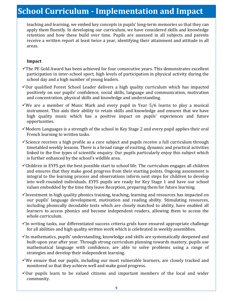# **School Curriculum - Implementation and Impact**

teaching and learning, we embed key concepts in pupils' long-term memories so that they can apply them fluently. In developing our curriculum, we have considered skills and knowledge retention and how these build over time. Pupils are assessed in all subjects and parents receive a written report at least twice a year, identifying their attainment and attitude in all areas.

#### **Impact**

- $\checkmark$ The PE Gold Award has been achieved for four consecutive years. This demonstrates excellent participation in inter-school sport, high levels of participation in physical activity during the school day and a high number of young leaders.
- ✓Our qualified Forest School Leader delivers a high quality curriculum which has impacted positively on our pupils' confidence, social skills, language and communication, motivation and concentration, physical skills and knowledge and understanding.
- ✓We are a member of Music Mark and every pupil in Year 5/6 learns to play a musical instrument. This aids their ability to retain skills and knowledge and ensures that we have high quality music which has a positive impact on pupils' experiences and future opportunities.
- $\checkmark$  Modern Languages is a strength of the school in Key Stage 2 and every pupil applies their oral French learning to written tasks.
- $\checkmark$ Science receives a high profile as a core subject and pupils receive a full curriculum through timetabled weekly lessons. There is a broad range of exciting, dynamic and practical activities linked to the five types of scientific enquiry. Our pupils particularly enjoy this subject which is further enhanced by the school's wildlife area.
- $\checkmark$ Children in EYFS get the best possible start to school life. The curriculum engages all children and ensures that they make good progress from their starting points. Ongoing assessment is integral to the learning process and observations inform next steps for children to develop into well-rounded individuals. EYFS pupils are ready for Key Stage 1 and have our school values embedded by the time they leave Reception, preparing them for future learning.
- $\checkmark$ Investment in high quality phonics training, teaching, learning and resources has impacted on our pupils' language development, motivation and reading ability. Stimulating resources, including phonically decodable texts which are closely matched to ability, have enabled all learners to access phonics and become independent readers, allowing them to access the whole curriculum.
- $\checkmark$ In writing tasks, our differentiated success criteria grids have ensured appropriate challenge for all abilities and high quality written work which is celebrated in weekly assemblies.
- $\checkmark$ In mathematics, pupils' understanding, knowledge and skills are systematically deepened and built-upon year after year. Through strong curriculum planning towards mastery, pupils use mathematical language with confidence, are able to solve problems using a range of strategies and develop their independent learning.
- $\checkmark$ We ensure that our pupils, including our most vulnerable learners, are closely tracked and monitored so that they achieve well and make good progress.
- $\checkmark$ Our pupils learn to be valued citizens and important members of the local and wider community.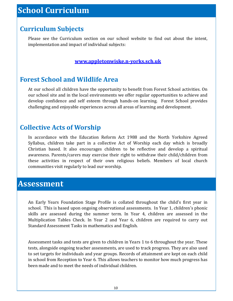# **Curriculum Subjects**

Please see the Curriculum section on our school website to find out about the intent, implementation and impact of individual subjects:

#### **[www.appletonwiske.n](http://www.appletonwiske.n-yorks.sch.uk)-yorks.sch.uk**

## **Forest School and Wildlife Area**

At our school all children have the opportunity to benefit from Forest School activities. On our school site and in the local environments we offer regular opportunities to achieve and develop confidence and self esteem through hands-on learning. Forest School provides challenging and enjoyable experiences across all areas of learning and development.

## **Collective Acts of Worship**

In accordance with the Education Reform Act 1988 and the North Yorkshire Agreed Syllabus, children take part in a collective Act of Worship each day which is broadly Christian based. It also encourages children to be reflective and develop a spiritual awareness. Parents/carers may exercise their right to withdraw their child/children from these activities in respect of their own religious beliefs. Members of local church communities visit regularly to lead our worship.

# **Assessment**

An Early Years Foundation Stage Profile is collated throughout the child's first year in school. This is based upon ongoing observational assessments. In Year 1, children's phonic skills are assessed during the summer term. In Year 4, children are assessed in the Multiplication Tables Check. In Year 2 and Year 6, children are required to carry out Standard Assessment Tasks in mathematics and English.

Assessment tasks and tests are given to children in Years 1 to 6 throughout the year. These tests, alongside ongoing teacher assessments, are used to track progress. They are also used to set targets for individuals and year groups. Records of attainment are kept on each child in school from Reception to Year 6. This allows teachers to monitor how much progress has been made and to meet the needs of individual children.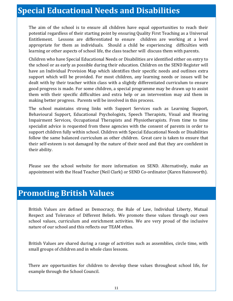# **Special Educational Needs and Disabilities**

The aim of the school is to ensure all children have equal opportunities to reach their potential regardless of their starting point by ensuring Quality First Teaching as a Universal Entitlement. Lessons are differentiated to ensure children are working at a level appropriate for them as individuals. Should a child be experiencing difficulties with learning or other aspects of school life, the class teacher will discuss them with parents.

Children who have Special Educational Needs or Disabilities are identified either on entry to the school or as early as possible during their education. Children on the SEND Register will have an Individual Provision Map which identifies their specific needs and outlines extra support which will be provided. For most children, any learning needs or issues will be dealt with by their teacher within class with a slightly differentiated curriculum to ensure good progress is made. For some children, a special programme may be drawn up to assist them with their specific difficulties and extra help or an intervention may aid them in making better progress. Parents will be involved in this process.

The school maintains strong links with Support Services such as Learning Support, Behavioural Support, Educational Psychologists, Speech Therapists, Visual and Hearing Impairment Services, Occupational Therapists and Physiotherapists. From time to time specialist advice is requested from these agencies with the consent of parents in order to support children fully within school. Children with Special Educational Needs or Disabilities follow the same balanced curriculum as other children. Great care is taken to ensure that their self-esteem is not damaged by the nature of their need and that they are confident in their ability.

Please see the school website for more information on SEND. Alternatively, make an appointment with the Head Teacher (Neil Clark) or SEND Co-ordinator (Karen Hainsworth).

# **Promoting British Values**

British Values are defined as Democracy, the Rule of Law, Individual Liberty, Mutual Respect and Tolerance of Different Beliefs. We promote these values through our own school values, curriculum and enrichment activities. We are very proud of the inclusive nature of our school and this reflects our TEAM ethos.

British Values are shared during a range of activities such as assemblies, circle time, with small groups of children and in whole class lessons.

There are opportunities for children to develop these values throughout school life, for example through the School Council.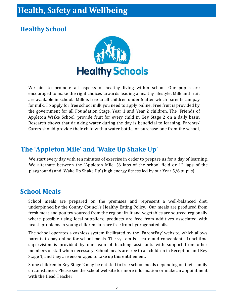# **Health, Safety and Wellbeing**

# **Healthy School**



We aim to promote all aspects of healthy living within school. Our pupils are encouraged to make the right choices towards leading a healthy lifestyle. Milk and fruit are available in school. Milk is free to all children under 5 after which parents can pay for milk. To apply for free school milk you need to apply online. Free fruit is provided by the government for all Foundation Stage, Year 1 and Year 2 children. The 'Friends of Appleton Wiske School' provide fruit for every child in Key Stage 2 on a daily basis. Research shows that drinking water during the day is beneficial to learning. Parents/ Carers should provide their child with a water bottle, or purchase one from the school,

# **The 'Appleton Mile' and 'Wake Up Shake Up'**

We start every day with ten minutes of exercise in order to prepare us for a day of learning. We alternate between the 'Appleton Mile' (6 laps of the school field or 12 laps of the playground) and 'Wake Up Shake Up' (high energy fitness led by our Year 5/6 pupils).

## **School Meals**

School meals are prepared on the premises and represent a well-balanced diet, underpinned by the County Council's Healthy Eating Policy. Our meals are produced from fresh meat and poultry sourced from the region; fruit and vegetables are sourced regionally where possible using local suppliers; products are free from additives associated with health problems in young children; fats are free from hydrogenated oils.

The school operates a cashless system facilitated by the 'ParentPay' website, which allows parents to pay online for school meals. The system is secure and convenient. Lunchtime supervision is provided by our team of teaching assistants with support from other members of staff when necessary. School meals are free to all children in Reception and Key Stage 1, and they are encouraged to take up this entitlement.

Some children in Key Stage 2 may be entitled to free school meals depending on their family circumstances. Please see the school website for more information or make an appointment with the Head Teacher.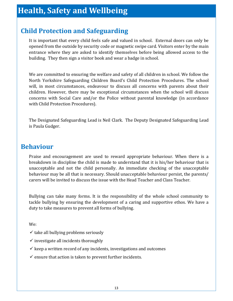# **Child Protection and Safeguarding**

It is important that every child feels safe and valued in school. External doors can only be opened from the outside by security code or magnetic swipe card. Visitors enter by the main entrance where they are asked to identify themselves before being allowed access to the building. They then sign a visitor book and wear a badge in school.

We are committed to ensuring the welfare and safety of all children in school. We follow the North Yorkshire Safeguarding Children Board's Child Protection Procedures. The school will, in most circumstances, endeavour to discuss all concerns with parents about their children. However, there may be exceptional circumstances when the school will discuss concerns with Social Care and/or the Police without parental knowledge (in accordance with Child Protection Procedures).

The Designated Safeguarding Lead is Neil Clark. The Deputy Designated Safeguarding Lead is Paula Gudger.

#### **Behaviour**

Praise and encouragement are used to reward appropriate behaviour. When there is a breakdown in discipline the child is made to understand that it is his/her behaviour that is unacceptable and not the child personally. An immediate checking of the unacceptable behaviour may be all that is necessary. Should unacceptable behaviour persist, the parents/ carers will be invited to discuss the issue with the Head Teacher and Class Teacher.

Bullying can take many forms. It is the responsibility of the whole school community to tackle bullying by ensuring the development of a caring and supportive ethos. We have a duty to take measures to prevent all forms of bullying.

We:

- $\checkmark$  take all bullying problems seriously
- $\checkmark$  investigate all incidents thoroughly
- $\checkmark$  keep a written record of any incidents, investigations and outcomes
- $\checkmark$  ensure that action is taken to prevent further incidents.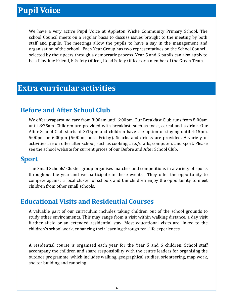# **Pupil Voice**

We have a very active Pupil Voice at Appleton Wiske Community Primary School. The school Council meets on a regular basis to discuss issues brought to the meeting by both staff and pupils. The meetings allow the pupils to have a say in the management and organisation of the school. Each Year Group has two representatives on the School Council, selected by their peers through a democratic process. Year 5 and 6 pupils can also apply to be a Playtime Friend, E-Safety Officer, Road Safety Officer or a member of the Green Team.

# **Extra curricular activities**

## **Before and After School Club**

We offer wraparound care from 8:00am until 6:00pm. Our Breakfast Club runs from 8:00am until 8:35am. Children are provided with breakfast, such as toast, cereal and a drink. Our After School Club starts at 3:15pm and children have the option of staying until 4:15pm, 5:00pm or 6:00pm (5:00pm on a Friday). Snacks and drinks are provided. A variety of activities are on offer after school, such as cooking, arts/crafts, computers and sport. Please see the school website for current prices of our Before and After School Club.

#### **Sport**

The Small Schools' Cluster group organises matches and competitions in a variety of sports throughout the year and we participate in these events. They offer the opportunity to compete against a local cluster of schools and the children enjoy the opportunity to meet children from other small schools.

## **Educational Visits and Residential Courses**

A valuable part of our curriculum includes taking children out of the school grounds to study other environments. This may range from a visit within walking distance, a day visit further afield or an extended residential stay. Most educational visits are linked to the children's school work, enhancing their learning through real-life experiences.

A residential course is organised each year for the Year 5 and 6 children. School staff accompany the children and share responsibility with the centre leaders for organising the outdoor programme, which includes walking, geographical studies, orienteering, map work, shelter building and canoeing.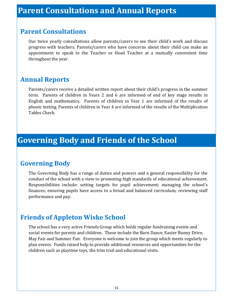#### **Parent Consultations**

Our twice yearly consultations allow parents/carers to see their child's work and discuss progress with teachers. Parents/carers who have concerns about their child can make an appointment to speak to the Teacher or Head Teacher at a mutually convenient time throughout the year.

#### **Annual Reports**

Parents/carers receive a detailed written report about their child's progress in the summer term. Parents of children in Years 2 and 6 are informed of end of key stage results in English and mathematics. Parents of children in Year 1 are informed of the results of phonic testing. Parents of children in Year 4 are informed of the results of the Multiplication Tables Check.

# **Governing Body and Friends of the School**

## **Governing Body**

The Governing Body has a range of duties and powers and a general responsibility for the conduct of the school with a view to promoting high standards of educational achievement. Responsibilities include: setting targets for pupil achievement; managing the school's finances; ensuring pupils have access to a broad and balanced curriculum; reviewing staff performance and pay.

## **Friends of Appleton Wiske School**

The school has a very active Friends Group which holds regular fundraising events and social events for parents and children. These include the Barn Dance, Easter Bunny Drive, May Fair and Summer Fair. Everyone is welcome to join the group which meets regularly to plan events. Funds raised help to provide additional resources and opportunities for the children such as playtime toys, the trim trail and educational visits.